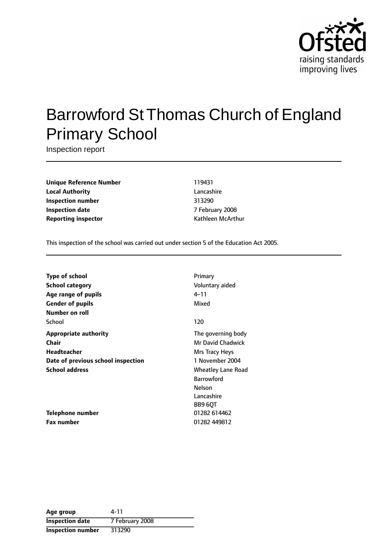

# Barrowford St Thomas Church of England Primary School

Inspection report

**Unique Reference Number** 119431 **Local Authority** Lancashire **Inspection number** 313290 **Inspection date** 7 February 2008 **Reporting inspector CONFIDENTIAL REPORTING MCARET MCARET MCARET MCARET MCARET MCARET MCARET MCARET MCARET MCARET MCARET MCARET MCARET MCARET MCARET MCARET MCARET MCARET MCARET MCARET MCARET MCARET MCCARET MCCARET MCCARE** 

This inspection of the school was carried out under section 5 of the Education Act 2005.

| <b>Type of school</b>              | Primary            |
|------------------------------------|--------------------|
| <b>School category</b>             | Voluntary aided    |
| Age range of pupils                | 4–11               |
| <b>Gender of pupils</b>            | Mixed              |
| Number on roll                     |                    |
| School                             | 120                |
| <b>Appropriate authority</b>       | The governing body |
| Chair                              | Mr David Chadwick  |
| <b>Headteacher</b>                 | Mrs Tracy Heys     |
| Date of previous school inspection | 1 November 2004    |
| <b>School address</b>              | Wheatley Lane Road |
|                                    | <b>Barrowford</b>  |
|                                    | Nelson             |
|                                    | Lancashire         |
|                                    | BB9 6QT            |
| Telephone number                   | 01282 614462       |
| <b>Fax number</b>                  | 01282 449812       |

| Age group                | 4-11            |
|--------------------------|-----------------|
| <b>Inspection date</b>   | 7 February 2008 |
| <b>Inspection number</b> | 313290          |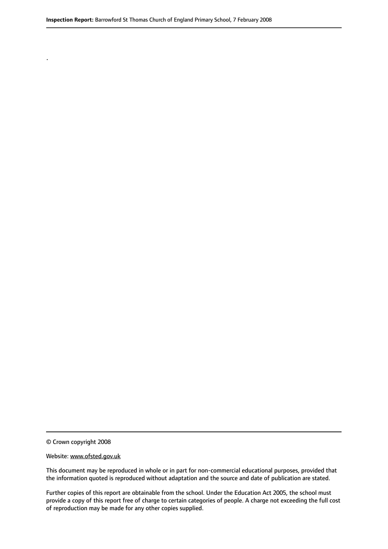© Crown copyright 2008

.

#### Website: www.ofsted.gov.uk

This document may be reproduced in whole or in part for non-commercial educational purposes, provided that the information quoted is reproduced without adaptation and the source and date of publication are stated.

Further copies of this report are obtainable from the school. Under the Education Act 2005, the school must provide a copy of this report free of charge to certain categories of people. A charge not exceeding the full cost of reproduction may be made for any other copies supplied.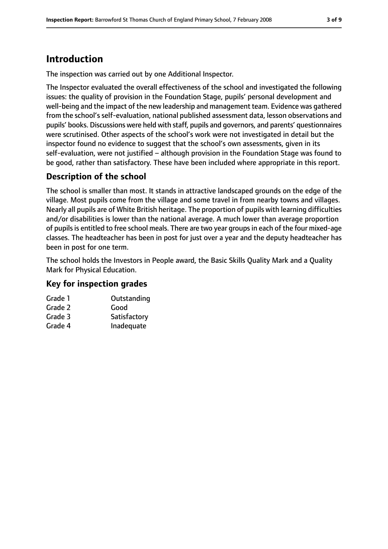## **Introduction**

The inspection was carried out by one Additional Inspector.

The Inspector evaluated the overall effectiveness of the school and investigated the following issues: the quality of provision in the Foundation Stage, pupils' personal development and well-being and the impact of the new leadership and management team. Evidence was gathered from the school's self-evaluation, national published assessment data, lesson observations and pupils' books. Discussions were held with staff, pupils and governors, and parents' questionnaires were scrutinised. Other aspects of the school's work were not investigated in detail but the inspector found no evidence to suggest that the school's own assessments, given in its self-evaluation, were not justified – although provision in the Foundation Stage was found to be good, rather than satisfactory. These have been included where appropriate in this report.

## **Description of the school**

The school is smaller than most. It stands in attractive landscaped grounds on the edge of the village. Most pupils come from the village and some travel in from nearby towns and villages. Nearly all pupils are of White British heritage. The proportion of pupils with learning difficulties and/or disabilities is lower than the national average. A much lower than average proportion of pupils is entitled to free school meals. There are two year groups in each of the four mixed-age classes. The headteacher has been in post for just over a year and the deputy headteacher has been in post for one term.

The school holds the Investors in People award, the Basic Skills Quality Mark and a Quality Mark for Physical Education.

### **Key for inspection grades**

| Grade 1 | Outstanding  |
|---------|--------------|
| Grade 2 | Good         |
| Grade 3 | Satisfactory |
| Grade 4 | Inadequate   |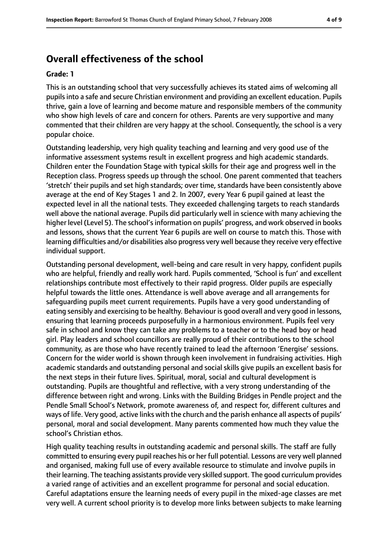## **Overall effectiveness of the school**

#### **Grade: 1**

This is an outstanding school that very successfully achieves its stated aims of welcoming all pupils into a safe and secure Christian environment and providing an excellent education. Pupils thrive, gain a love of learning and become mature and responsible members of the community who show high levels of care and concern for others. Parents are very supportive and many commented that their children are very happy at the school. Consequently, the school is a very popular choice.

Outstanding leadership, very high quality teaching and learning and very good use of the informative assessment systems result in excellent progress and high academic standards. Children enter the Foundation Stage with typical skills for their age and progress well in the Reception class. Progress speeds up through the school. One parent commented that teachers 'stretch' their pupils and set high standards; over time, standards have been consistently above average at the end of Key Stages 1 and 2. In 2007, every Year 6 pupil gained at least the expected level in all the national tests. They exceeded challenging targets to reach standards well above the national average. Pupils did particularly well in science with many achieving the higher level (Level 5). The school's information on pupils' progress, and work observed in books and lessons, shows that the current Year 6 pupils are well on course to match this. Those with learning difficulties and/or disabilities also progress very well because they receive very effective individual support.

Outstanding personal development, well-being and care result in very happy, confident pupils who are helpful, friendly and really work hard. Pupils commented, 'School is fun' and excellent relationships contribute most effectively to their rapid progress. Older pupils are especially helpful towards the little ones. Attendance is well above average and all arrangements for safeguarding pupils meet current requirements. Pupils have a very good understanding of eating sensibly and exercising to be healthy. Behaviour is good overall and very good in lessons, ensuring that learning proceeds purposefully in a harmonious environment. Pupils feel very safe in school and know they can take any problems to a teacher or to the head boy or head girl. Play leaders and school councillors are really proud of their contributions to the school community, as are those who have recently trained to lead the afternoon 'Energise' sessions. Concern for the wider world is shown through keen involvement in fundraising activities. High academic standards and outstanding personal and social skills give pupils an excellent basis for the next steps in their future lives. Spiritual, moral, social and cultural development is outstanding. Pupils are thoughtful and reflective, with a very strong understanding of the difference between right and wrong. Links with the Building Bridges in Pendle project and the Pendle Small School's Network, promote awareness of, and respect for, different cultures and ways of life. Very good, active links with the church and the parish enhance all aspects of pupils' personal, moral and social development. Many parents commented how much they value the school's Christian ethos.

High quality teaching results in outstanding academic and personal skills. The staff are fully committed to ensuring every pupil reaches his or her full potential. Lessons are very well planned and organised, making full use of every available resource to stimulate and involve pupils in their learning. The teaching assistants provide very skilled support. The good curriculum provides a varied range of activities and an excellent programme for personal and social education. Careful adaptations ensure the learning needs of every pupil in the mixed-age classes are met very well. A current school priority is to develop more links between subjects to make learning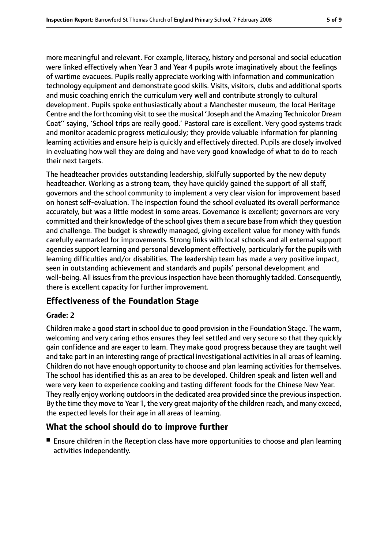more meaningful and relevant. For example, literacy, history and personal and social education were linked effectively when Year 3 and Year 4 pupils wrote imaginatively about the feelings of wartime evacuees. Pupils really appreciate working with information and communication technology equipment and demonstrate good skills. Visits, visitors, clubs and additional sports and music coaching enrich the curriculum very well and contribute strongly to cultural development. Pupils spoke enthusiastically about a Manchester museum, the local Heritage Centre and the forthcoming visit to see the musical 'Joseph and the Amazing Technicolor Dream Coat'' saying, 'School trips are really good.' Pastoral care is excellent. Very good systems track and monitor academic progress meticulously; they provide valuable information for planning learning activities and ensure help is quickly and effectively directed. Pupils are closely involved in evaluating how well they are doing and have very good knowledge of what to do to reach their next targets.

The headteacher provides outstanding leadership, skilfully supported by the new deputy headteacher. Working as a strong team, they have quickly gained the support of all staff, governors and the school community to implement a very clear vision for improvement based on honest self-evaluation. The inspection found the school evaluated its overall performance accurately, but was a little modest in some areas. Governance is excellent; governors are very committed and their knowledge of the school givesthem a secure base from which they question and challenge. The budget is shrewdly managed, giving excellent value for money with funds carefully earmarked for improvements. Strong links with local schools and all external support agencies support learning and personal development effectively, particularly for the pupils with learning difficulties and/or disabilities. The leadership team has made a very positive impact, seen in outstanding achievement and standards and pupils' personal development and well-being. All issues from the previous inspection have been thoroughly tackled. Consequently, there is excellent capacity for further improvement.

### **Effectiveness of the Foundation Stage**

#### **Grade: 2**

Children make a good start in school due to good provision in the Foundation Stage. The warm, welcoming and very caring ethos ensures they feel settled and very secure so that they quickly gain confidence and are eager to learn. They make good progress because they are taught well and take part in an interesting range of practical investigational activities in all areas of learning. Children do not have enough opportunity to choose and plan learning activitiesfor themselves. The school has identified this as an area to be developed. Children speak and listen well and were very keen to experience cooking and tasting different foods for the Chinese New Year. They really enjoy working outdoors in the dedicated area provided since the previous inspection. By the time they move to Year 1, the very great majority of the children reach, and many exceed, the expected levels for their age in all areas of learning.

### **What the school should do to improve further**

■ Ensure children in the Reception class have more opportunities to choose and plan learning activities independently.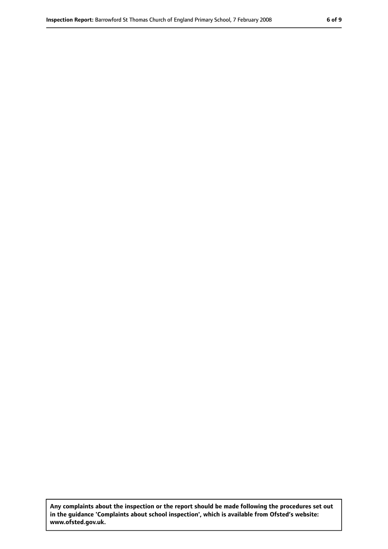**Any complaints about the inspection or the report should be made following the procedures set out in the guidance 'Complaints about school inspection', which is available from Ofsted's website: www.ofsted.gov.uk.**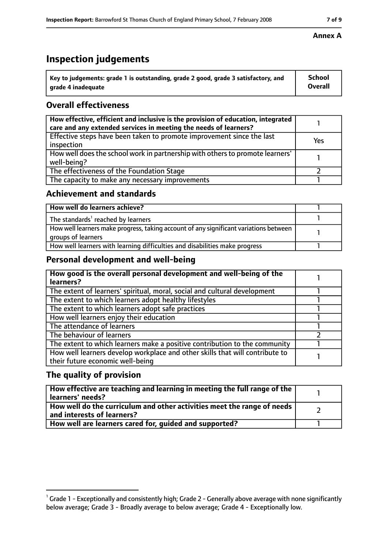# **Inspection judgements**

| $\dot{ }$ Key to judgements: grade 1 is outstanding, grade 2 good, grade 3 satisfactory, and | School         |
|----------------------------------------------------------------------------------------------|----------------|
| arade 4 inadequate                                                                           | <b>Overall</b> |

## **Overall effectiveness**

| How effective, efficient and inclusive is the provision of education, integrated<br>care and any extended services in meeting the needs of learners? |     |
|------------------------------------------------------------------------------------------------------------------------------------------------------|-----|
| Effective steps have been taken to promote improvement since the last<br>inspection                                                                  | Yes |
| How well does the school work in partnership with others to promote learners'<br>well-being?                                                         |     |
| The effectiveness of the Foundation Stage                                                                                                            |     |
| The capacity to make any necessary improvements                                                                                                      |     |

### **Achievement and standards**

| How well do learners achieve?                                                                               |  |
|-------------------------------------------------------------------------------------------------------------|--|
| The standards <sup>1</sup> reached by learners                                                              |  |
| How well learners make progress, taking account of any significant variations between<br>groups of learners |  |
| How well learners with learning difficulties and disabilities make progress                                 |  |

## **Personal development and well-being**

| How good is the overall personal development and well-being of the<br>learners?                                  |  |
|------------------------------------------------------------------------------------------------------------------|--|
| The extent of learners' spiritual, moral, social and cultural development                                        |  |
| The extent to which learners adopt healthy lifestyles                                                            |  |
| The extent to which learners adopt safe practices                                                                |  |
| How well learners enjoy their education                                                                          |  |
| The attendance of learners                                                                                       |  |
| The behaviour of learners                                                                                        |  |
| The extent to which learners make a positive contribution to the community                                       |  |
| How well learners develop workplace and other skills that will contribute to<br>their future economic well-being |  |

## **The quality of provision**

| How effective are teaching and learning in meeting the full range of the<br>learners' needs?          |  |
|-------------------------------------------------------------------------------------------------------|--|
| How well do the curriculum and other activities meet the range of needs<br>and interests of learners? |  |
| How well are learners cared for, quided and supported?                                                |  |

#### **Annex A**

 $^1$  Grade 1 - Exceptionally and consistently high; Grade 2 - Generally above average with none significantly below average; Grade 3 - Broadly average to below average; Grade 4 - Exceptionally low.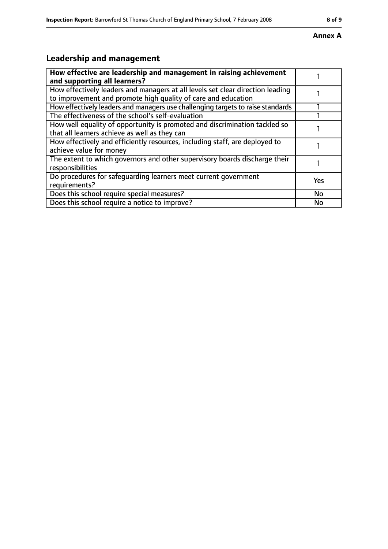#### **Annex A**

# **Leadership and management**

| How effective are leadership and management in raising achievement<br>and supporting all learners?                                              |     |
|-------------------------------------------------------------------------------------------------------------------------------------------------|-----|
| How effectively leaders and managers at all levels set clear direction leading<br>to improvement and promote high quality of care and education |     |
| How effectively leaders and managers use challenging targets to raise standards                                                                 |     |
| The effectiveness of the school's self-evaluation                                                                                               |     |
| How well equality of opportunity is promoted and discrimination tackled so<br>that all learners achieve as well as they can                     |     |
| How effectively and efficiently resources, including staff, are deployed to<br>achieve value for money                                          |     |
| The extent to which governors and other supervisory boards discharge their<br>responsibilities                                                  |     |
| Do procedures for safequarding learners meet current government<br>requirements?                                                                | Yes |
| Does this school require special measures?                                                                                                      | No  |
| Does this school require a notice to improve?                                                                                                   | No  |